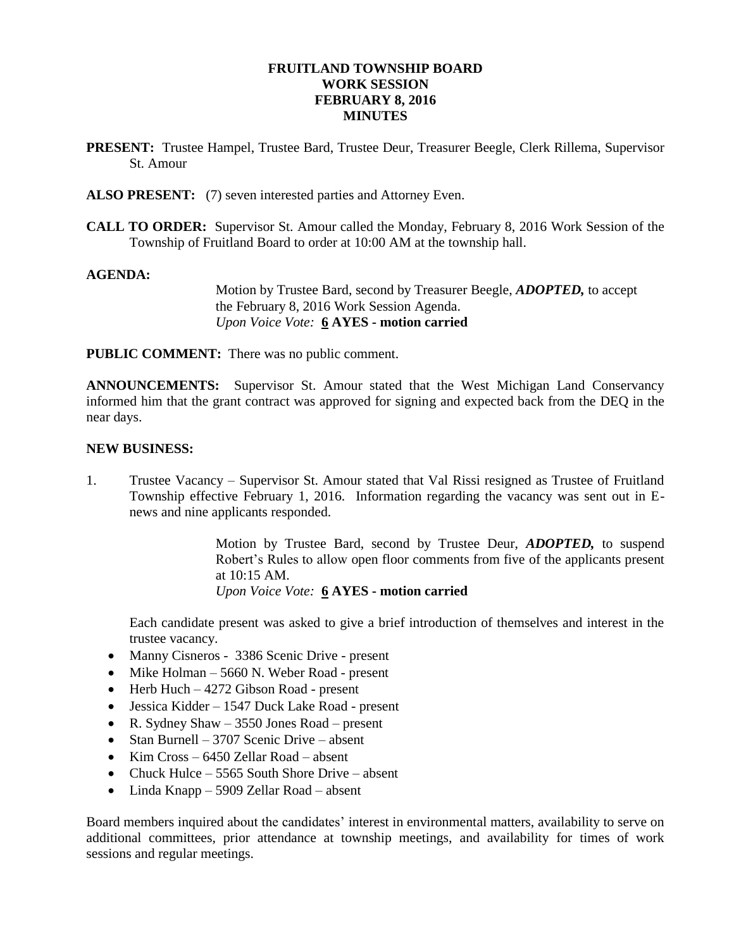## **FRUITLAND TOWNSHIP BOARD WORK SESSION FEBRUARY 8, 2016 MINUTES**

- **PRESENT:** Trustee Hampel, Trustee Bard, Trustee Deur, Treasurer Beegle, Clerk Rillema, Supervisor St. Amour
- **ALSO PRESENT:** (7) seven interested parties and Attorney Even.
- **CALL TO ORDER:** Supervisor St. Amour called the Monday, February 8, 2016 Work Session of the Township of Fruitland Board to order at 10:00 AM at the township hall.

### **AGENDA:**

Motion by Trustee Bard, second by Treasurer Beegle, *ADOPTED,* to accept the February 8, 2016 Work Session Agenda. *Upon Voice Vote:* **6 AYES - motion carried**

**PUBLIC COMMENT:** There was no public comment.

**ANNOUNCEMENTS:** Supervisor St. Amour stated that the West Michigan Land Conservancy informed him that the grant contract was approved for signing and expected back from the DEQ in the near days.

### **NEW BUSINESS:**

1. Trustee Vacancy – Supervisor St. Amour stated that Val Rissi resigned as Trustee of Fruitland Township effective February 1, 2016. Information regarding the vacancy was sent out in Enews and nine applicants responded.

> Motion by Trustee Bard, second by Trustee Deur, *ADOPTED,* to suspend Robert's Rules to allow open floor comments from five of the applicants present at 10:15 AM. *Upon Voice Vote:* **6 AYES - motion carried**

Each candidate present was asked to give a brief introduction of themselves and interest in the trustee vacancy.

- Manny Cisneros 3386 Scenic Drive present
- Mike Holman 5660 N. Weber Road present
- $\bullet$  Herb Huch 4272 Gibson Road present
- Jessica Kidder 1547 Duck Lake Road present
- R. Sydney Shaw 3550 Jones Road present
- Stan Burnell 3707 Scenic Drive absent
- $\bullet$  Kim Cross 6450 Zellar Road absent
- Chuck Hulce 5565 South Shore Drive absent
- Linda Knapp 5909 Zellar Road absent

Board members inquired about the candidates' interest in environmental matters, availability to serve on additional committees, prior attendance at township meetings, and availability for times of work sessions and regular meetings.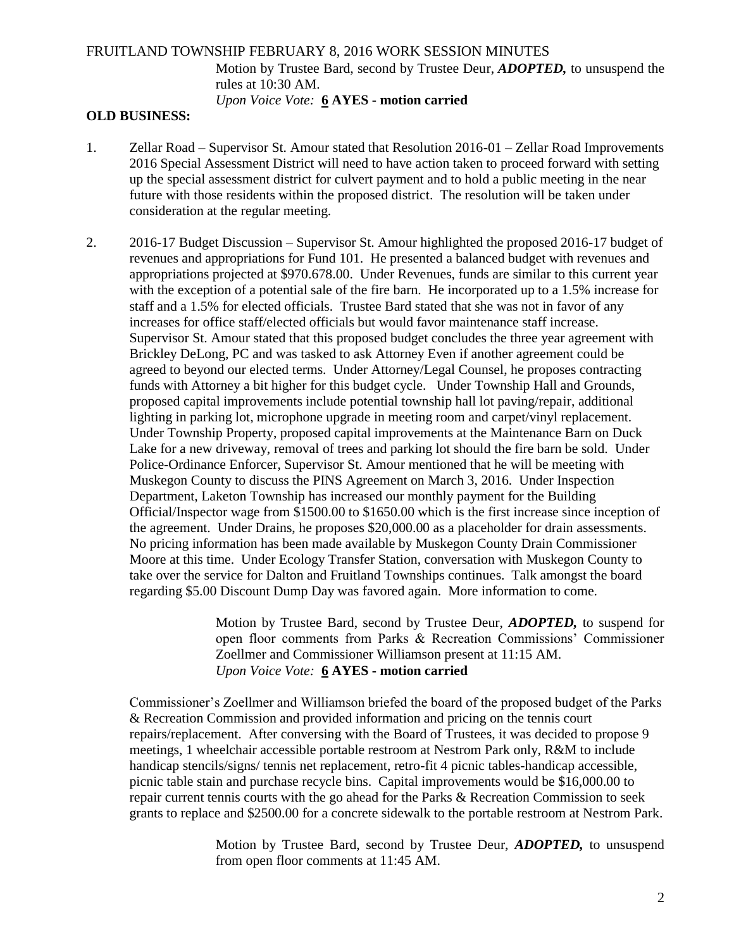## FRUITLAND TOWNSHIP FEBRUARY 8, 2016 WORK SESSION MINUTES

Motion by Trustee Bard, second by Trustee Deur, *ADOPTED,* to unsuspend the rules at 10:30 AM. *Upon Voice Vote:* **6 AYES - motion carried**

#### **OLD BUSINESS:**

- 1. Zellar Road Supervisor St. Amour stated that Resolution 2016-01 Zellar Road Improvements 2016 Special Assessment District will need to have action taken to proceed forward with setting up the special assessment district for culvert payment and to hold a public meeting in the near future with those residents within the proposed district. The resolution will be taken under consideration at the regular meeting.
- 2. 2016-17 Budget Discussion Supervisor St. Amour highlighted the proposed 2016-17 budget of revenues and appropriations for Fund 101. He presented a balanced budget with revenues and appropriations projected at \$970.678.00. Under Revenues, funds are similar to this current year with the exception of a potential sale of the fire barn. He incorporated up to a 1.5% increase for staff and a 1.5% for elected officials. Trustee Bard stated that she was not in favor of any increases for office staff/elected officials but would favor maintenance staff increase. Supervisor St. Amour stated that this proposed budget concludes the three year agreement with Brickley DeLong, PC and was tasked to ask Attorney Even if another agreement could be agreed to beyond our elected terms. Under Attorney/Legal Counsel, he proposes contracting funds with Attorney a bit higher for this budget cycle. Under Township Hall and Grounds, proposed capital improvements include potential township hall lot paving/repair, additional lighting in parking lot, microphone upgrade in meeting room and carpet/vinyl replacement. Under Township Property, proposed capital improvements at the Maintenance Barn on Duck Lake for a new driveway, removal of trees and parking lot should the fire barn be sold. Under Police-Ordinance Enforcer, Supervisor St. Amour mentioned that he will be meeting with Muskegon County to discuss the PINS Agreement on March 3, 2016. Under Inspection Department, Laketon Township has increased our monthly payment for the Building Official/Inspector wage from \$1500.00 to \$1650.00 which is the first increase since inception of the agreement. Under Drains, he proposes \$20,000.00 as a placeholder for drain assessments. No pricing information has been made available by Muskegon County Drain Commissioner Moore at this time. Under Ecology Transfer Station, conversation with Muskegon County to take over the service for Dalton and Fruitland Townships continues. Talk amongst the board regarding \$5.00 Discount Dump Day was favored again. More information to come.

Motion by Trustee Bard, second by Trustee Deur, *ADOPTED,* to suspend for open floor comments from Parks & Recreation Commissions' Commissioner Zoellmer and Commissioner Williamson present at 11:15 AM. *Upon Voice Vote:* **6 AYES - motion carried**

Commissioner's Zoellmer and Williamson briefed the board of the proposed budget of the Parks & Recreation Commission and provided information and pricing on the tennis court repairs/replacement. After conversing with the Board of Trustees, it was decided to propose 9 meetings, 1 wheelchair accessible portable restroom at Nestrom Park only, R&M to include handicap stencils/signs/ tennis net replacement, retro-fit 4 picnic tables-handicap accessible, picnic table stain and purchase recycle bins. Capital improvements would be \$16,000.00 to repair current tennis courts with the go ahead for the Parks & Recreation Commission to seek grants to replace and \$2500.00 for a concrete sidewalk to the portable restroom at Nestrom Park.

> Motion by Trustee Bard, second by Trustee Deur, *ADOPTED,* to unsuspend from open floor comments at 11:45 AM.